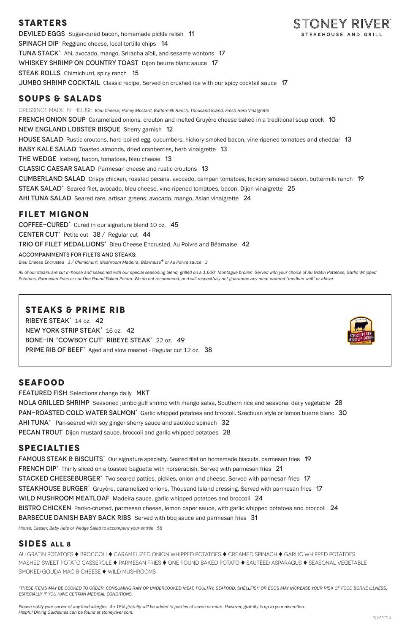### **STARTERS**

DEVILED EGGS Sugar-cured bacon, homemade pickle relish 11 Spinach DipReggiano cheese, local tortilla chips 14 TUNA STACK<sup>+</sup> Ahi, avocado, mango, Sriracha aïoli, and sesame wontons 17 WHISKEY SHRIMP ON COUNTRY TOAST Dijon beurre blanc sauce 17 **STEAK ROLLS** Chimichurri, spicy ranch 15 **JUMBO SHRIMP COCKTAIL** Classic recipe. Served on crushed ice with our spicy cocktail sauce 17

## **SOUPS & SALADS**

DRESSINGS MADE IN-HOUSE: Bleu Cheese, Honey Mustard, Buttermilk Ranch, Thousand Island, Fresh Herb Vinaigrette **FRENCH ONION SOUP** Caramelized onions, crouton and melted Gruyère cheese baked in a traditional soup crock 10 New England Lobster BisqueSherry garnish 12 HOUSE SALAD Rustic croutons, hard-boiled egg, cucumbers, hickory-smoked bacon, vine-ripened tomatoes and cheddar 13 BABY KALE SALAD Toasted almonds, dried cranberries, herb vinaigrette 13 THE WEDGE Iceberg, bacon, tomatoes, bleu cheese 13 Classic Caesar SaladParmesan cheese and rustic croutons 13 Cumberland SaladCrispy chicken, roasted pecans, avocado, campari tomatoes, hickory smoked bacon, buttermilk ranch 19 STEAK SALAD<sup>+</sup> Seared filet, avocado, bleu cheese, vine-ripened tomatoes, bacon, Dijon vinaigrette 25 AHI TUNA SALAD Seared rare, artisan greens, avocado, mango, Asian vinaigrette 24

## **FILET MIGNON**

COFFEE-CURED<sup>+</sup> Cured in our signature blend 10 oz. 45

CENTER CUT<sup>+</sup> Petite cut 38 / Regular cut 44

TRIO OF FILET MEDALLIONS<sup>+</sup> Bleu Cheese Encrusted, Au Poivre and Béarnaise 42

#### ACCOMPANIMENTS FOR FILETS AND STEAKS:

*Bleu Cheese Encrusted 3 / Chimichurri, Mushroom Madeira, Béarnaise+ or Au Poivre sauce 3* 

FRENCH DIP<sup>+</sup> Thinly sliced on a toasted baguette with horseradish. Served with parmesan fries 21 STACKED CHEESEBURGER<sup>+</sup> Two seared patties, pickles, onion and cheese. Served with parmesan fries 17 STEAKHOUSE BURGER<sup>+</sup> Gruyère, caramelized onions, Thousand Island dressing. Served with parmesan fries 17 WILD MUSHROOM MEATLOAF Madeira sauce, garlic whipped potatoes and broccoli 24 BISTRO CHICKEN Panko-crusted, parmesan cheese, lemon caper sauce, with garlic whipped potatoes and broccoli 24 Barbecue Danish Baby Back RibsServed with bbq sauce and parmesan fries 31

*All of our steaks are cut in-house and seasoned with our special seasoning blend, grilled on a 1,600° Montague broiler. Served with your choice of Au Gratin Potatoes, Garlic Whipped Potatoes, Parmesan Fries or our One Pound Baked Potato. We do not recommend, and will respectfully not guarantee any meat ordered "medium well" or above.* 

## **STEAKS & PRIME RIB**

RIBEYE STEAK<sup>+</sup> 14 oz. 42 NEW YORK STRIP STEAK<sup>+</sup> 16 oz. 42 BONE-IN "COWBOY CUT" RIBEYE STEAK<sup>+</sup> 22 oz. 49 PRIME RIB OF BEEF<sup>+</sup> Aged and slow roasted - Regular cut 12 oz. 38



### **SEAFOOD**

**FEATURED FISH** Selections change daily MKT NOLA GRILLED SHRIMP Seasoned jumbo gulf shrimp with mango salsa, Southern rice and seasonal daily vegetable 28 PAN-ROASTED COLD WATER SALMON<sup>+</sup> Garlic whipped potatoes and broccoli. Szechuan style or lemon buerre blanc 30 AHI TUNA<sup>+</sup> Pan-seared with soy ginger sherry sauce and sautéed spinach 32 PECAN TROUT Dijon mustard sauce, broccoli and garlic whipped potatoes 28

# **SPECIALTIES**

FAMOUS STEAK & BISCUITS<sup>+</sup> Our signature specialty. Seared filet on homemade biscuits, parmesan fries 19

*House, Caesar, Baby Kale or Wedge Salad to accompany your entrée \$8*

### **SIDES ALL 8**

AU GRATIN POTATOES ♦ BROCCOLI ♦ CARAMELIZED ONION WHIPPED POTATOES ♦ CREAMED SPINACH ♦ GARLIC WHIPPED POTATOES MASHED SWEET POTATO CASSEROLE ♦ PARMESAN FRIES ♦ ONE POUND BAKED POTATO ♦ SAUTÉED ASPARAGUS ♦ SEASONAL VEGETABLE SMOKED GOUDA MAC & CHEESE ♦ WILD MUSHROOMS

*+THESE ITEMS MAY BE COOKED TO ORDER. CONSUMING RAW OR UNDERCOOKED MEAT, POULTRY, SEAFOOD, SHELLFISH OR EGGS MAY INCREASE YOUR RISK OF FOOD BORNE ILLNESS, ESPECIALLY IF YOU HAVE CERTAIN MEDICAL CONDITIONS.*

*Please notify your server of any food allergies. An 18% gratuity will be added to parties of seven or more. However, gratuity is up to your discretion. Helpful Dining Guidelines can be found at stoneyriver.com.*

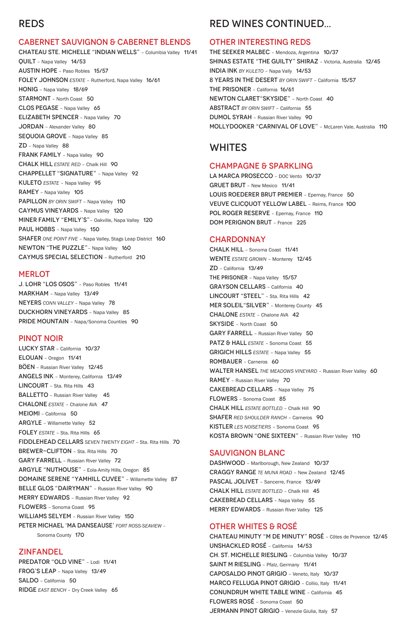# REDS

#### CABERNET SAUVIGNON & CABERNET BLENDS

CHATEAU STE. MICHELLE "INDIAN WELLS" – Columbia Valley 11/41 QUILT – Napa Valley 14/53 AUSTIN HOPE – Paso Robles 15/57 FOLEY JOHNSON *ESTATE* – Rutherford, Napa Valley 16/61 HONIG – Napa Valley 18/69 STARMONT – North Coast 50 CLOS PEGASE – Napa Valley 65 ELIZABETH SPENCER – Napa Valley 70 JORDAN – Alexander Valley 80 SEQUOIA GROVE - Napa Valley 85 ZD – Napa Valley 88 FRANK FAMILY - Napa Valley 90 CHALK HILL *ESTATE RED* – Chalk Hill 90 CHAPPELLET "SIGNATURE" – Napa Valley 92 KULETO *ESTATE* – Napa Valley 95 RAMEY – Napa Valley 105 PAPILLON *BY ORIN SWIFT* – Napa Valley 110 CAYMUS VINEYARDS – Napa Valley 120 MINER FAMILY "EMILY'S"– Oakville, Napa Valley 120 PAUL HOBBS - Napa Valley 150 SHAFER *ONE POINT FIVE* – Napa Valley, Stags Leap District 160 NEWTON "THE PUZZLE"– Napa Valley 160 CAYMUS SPECIAL SELECTION – Rutherford 210

#### **MERLOT**

J. LOHR "LOS OSOS" – Paso Robles 11/41 MARKHAM – Napa Valley 13/49 NEYERS *CONN VALLEY* – Napa Valley 78 DUCKHORN VINEYARDS – Napa Valley 85 PRIDE MOUNTAIN – Napa/Sonoma Counties 90

PREDATOR "OLD VINE" - Lodi 11/41 FROG'S LEAP – Napa Valley 13/49 SALDO – California 50 RIDGE *EAST BENCH* – Dry Creek Valley 65

#### PINOT NOIR

LA MARCA PROSECCO - DOC Vento 10/37 GRUET BRUT – New Mexico 11/41 LOUIS ROEDERER BRUT PREMIER – Epernay, France 50 VEUVE CLICQUOT YELLOW LABEL – Reims, France 100 POL ROGER RESERVE - Epernay, France 110 DOM PERIGNON BRUT – France 225

#### **CHARDONNAY**

LUCKY STAR – California 10/37 ELOUAN – Oregon 11/41 BÖEN – Russian River Valley 12/45 ANGELS INK – Monterey, California 13/49 LINCOURT - Sta. Rita Hills 43 BALLETTO - Russian River Valley 45 CHALONE *ESTATE* – Chalone AVA 47 MEIOMI – California 50 ARGYLE – Willamette Valley 52 FOLEY *ESTATE* - Sta. Rita Hills 65 FIDDLEHEAD CELLARS *SEVEN TWENTY EIGHT* – Sta. Rita Hills 70 BREWER-CLIFTON - Sta. Rita Hills 70 GARY FARRELL – Russian River Valley 72 ARGYLE "NUTHOUSE" – Eola-Amity Hills, Oregon 85 DOMAINE SERENE "YAMHILL CUVEE" – Willamette Valley 87 BELLE GLOS "DAIRYMAN" - Russian River Valley 90 MERRY EDWARDS – Russian River Valley 92 FLOWERS – Sonoma Coast 95 WILLIAMS SELYEM - Russian River Valley 150 PETER MICHAEL 'MA DANSEAUSE' *FORT ROSS-SEAVIEW –* Sonoma County 170

#### ZINFANDEL

# RED WINES CONTINUED...

#### OTHER INTERESTING REDS

THE SEEKER MALBEC – Mendoza, Argentina 10/37 SHINAS ESTATE "THE GUILTY" SHIRAZ – Victoria, Australia 12/45 INDIA INK *BY KULETO* – Napa Vally 14/53 8 YEARS IN THE DESERT *BY ORIN SWIFT* – California 15/57 THE PRISONER – California 16/61 NEWTON CLARET"SKYSIDE" – North Coast 40 ABSTRACT *BY ORIN SWIFT* – California 55 DUMOL SYRAH – Russian River Valley 90 MOLLYDOOKER "CARNIVAL OF LOVE" – McLaren Vale, Australia 110

### WHITES

#### CHAMPAGNE & SPARKLING

CHALK HILL – Sonoma Coast 11/41 WENTE *ESTATE GROWN* – Monterey 12/45 ZD – California 13/49 THE PRISONER - Napa Valley 15/57 GRAYSON CELLARS – California 40 LINCOURT "STEEL" - Sta. Rita Hills 42 MER SOLEIL"SILVER" – Monterey County 45 CHALONE *ESTATE* – Chalone AVA 42 SKYSIDE – North Coast 50 GARY FARRELL - Russian River Valley 50 PATZ & HALL **ESTATE** - Sonoma Coast 55 GRIGICH HILLS *ESTATE* – Napa Valley 55 ROMBAUER – Carneros 60 WALTER HANSEL THE MEADOWS VINEYARD - Russian River Valley 60 RAMEY – Russian River Valley 70 CAKEBREAD CELLARS – Napa Valley 75 FLOWERS – Sonoma Coast 85 CHALK HILL *ESTATE BOTTLED* – Chalk Hill 90 SHAFER *RED SHOULDER RANCH* – Carneros 90 KISTLER *LES NOISETIERS* – Sonoma Coast 95 KOSTA BROWN "ONE SIXTEEN" – Russian River Valley 110

#### SAUVIGNON BLANC

DASHWOOD - Marlborough, New Zealand 10/37

CRAGGY RANGE *TE MUNA ROAD* – New Zealand 12/45 PASCAL JOLIVET – Sancerre, France 13/49 CHALK HILL *ESTATE BOTTLED* – Chalk Hill 45 CAKEBREAD CELLARS – Napa Valley 55 MERRY EDWARDS – Russian River Valley 125

### OTHER WHITES & ROSÉ

CHATEAU MINUTY "M DE MINUTY" ROSÉ – Côtes de Provence 12/45 UNSHACKLED ROSÉ – California 14/53 CH. ST. MICHELLE RIESLING – Columbia Valley 10/37 SAINT M RIESLING – Pfalz, Germany 11/41 CAPOSALDO PINOT GRIGIO – Veneto, Italy 10/37 MARCO FELLUGA PINOT GRIGIO - Collio, Italy 11/41 CONUNDRUM WHITE TABLE WINE – California 45 FLOWERS ROSÉ – Sonoma Coast 50 JERMANN PINOT GRIGIO – Venezie Giulia, Italy 57